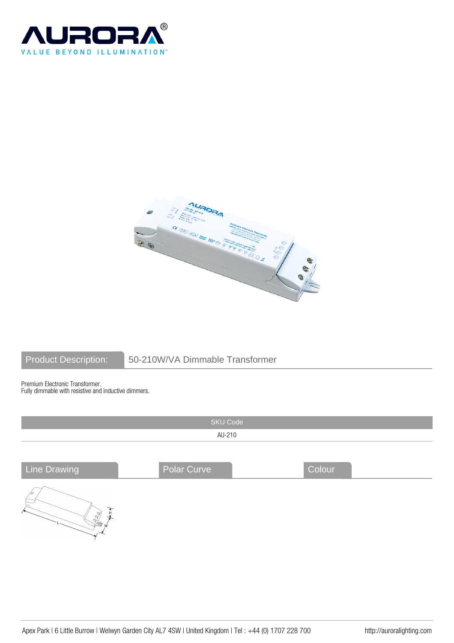



# Product Description: 50-210W/VA Dimmable Transformer

Premium Electronic Transformer. Fully dimmable with resistive and inductive dimmers.